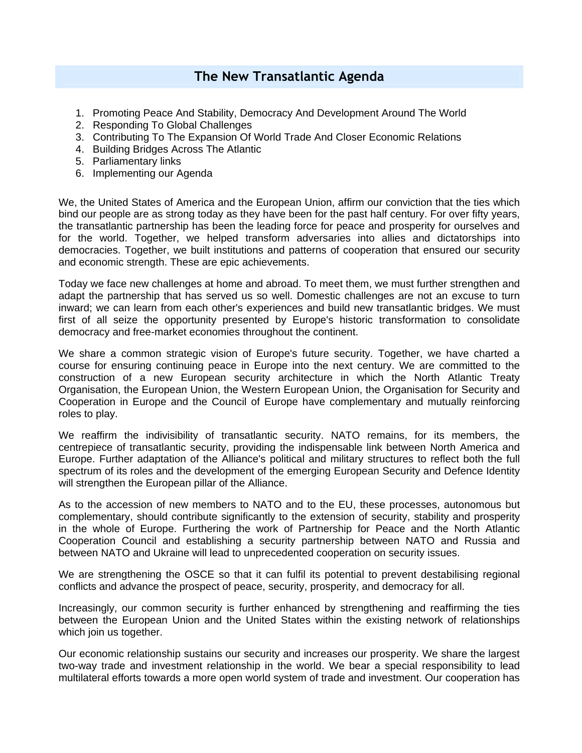# **The New Transatlantic Agenda**

- 1. Promoting Peace And Stability, Democracy And Development Around The World
- 2. Responding To Global Challenges
- 3. Contributing To The Expansion Of World Trade And Closer Economic Relations
- 4. Building Bridges Across The Atlantic
- 5. Parliamentary links
- 6. Implementing our Agenda

We, the United States of America and the European Union, affirm our conviction that the ties which bind our people are as strong today as they have been for the past half century. For over fifty years, the transatlantic partnership has been the leading force for peace and prosperity for ourselves and for the world. Together, we helped transform adversaries into allies and dictatorships into democracies. Together, we built institutions and patterns of cooperation that ensured our security and economic strength. These are epic achievements.

Today we face new challenges at home and abroad. To meet them, we must further strengthen and adapt the partnership that has served us so well. Domestic challenges are not an excuse to turn inward; we can learn from each other's experiences and build new transatlantic bridges. We must first of all seize the opportunity presented by Europe's historic transformation to consolidate democracy and free-market economies throughout the continent.

We share a common strategic vision of Europe's future security. Together, we have charted a course for ensuring continuing peace in Europe into the next century. We are committed to the construction of a new European security architecture in which the North Atlantic Treaty Organisation, the European Union, the Western European Union, the Organisation for Security and Cooperation in Europe and the Council of Europe have complementary and mutually reinforcing roles to play.

We reaffirm the indivisibility of transatlantic security. NATO remains, for its members, the centrepiece of transatlantic security, providing the indispensable link between North America and Europe. Further adaptation of the Alliance's political and military structures to reflect both the full spectrum of its roles and the development of the emerging European Security and Defence Identity will strengthen the European pillar of the Alliance.

As to the accession of new members to NATO and to the EU, these processes, autonomous but complementary, should contribute significantly to the extension of security, stability and prosperity in the whole of Europe. Furthering the work of Partnership for Peace and the North Atlantic Cooperation Council and establishing a security partnership between NATO and Russia and between NATO and Ukraine will lead to unprecedented cooperation on security issues.

We are strengthening the OSCE so that it can fulfil its potential to prevent destabilising regional conflicts and advance the prospect of peace, security, prosperity, and democracy for all.

Increasingly, our common security is further enhanced by strengthening and reaffirming the ties between the European Union and the United States within the existing network of relationships which join us together.

Our economic relationship sustains our security and increases our prosperity. We share the largest two-way trade and investment relationship in the world. We bear a special responsibility to lead multilateral efforts towards a more open world system of trade and investment. Our cooperation has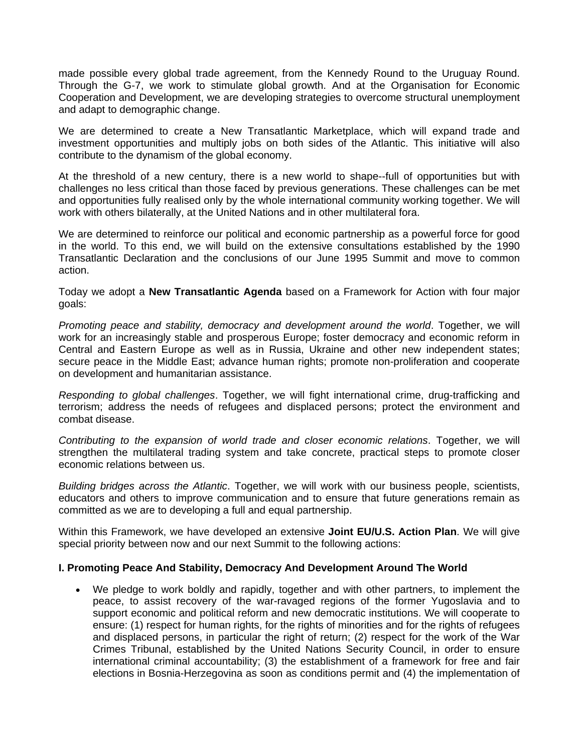made possible every global trade agreement, from the Kennedy Round to the Uruguay Round. Through the G-7, we work to stimulate global growth. And at the Organisation for Economic Cooperation and Development, we are developing strategies to overcome structural unemployment and adapt to demographic change.

We are determined to create a New Transatlantic Marketplace, which will expand trade and investment opportunities and multiply jobs on both sides of the Atlantic. This initiative will also contribute to the dynamism of the global economy.

At the threshold of a new century, there is a new world to shape--full of opportunities but with challenges no less critical than those faced by previous generations. These challenges can be met and opportunities fully realised only by the whole international community working together. We will work with others bilaterally, at the United Nations and in other multilateral fora.

We are determined to reinforce our political and economic partnership as a powerful force for good in the world. To this end, we will build on the extensive consultations established by the 1990 Transatlantic Declaration and the conclusions of our June 1995 Summit and move to common action.

Today we adopt a **New Transatlantic Agenda** based on a Framework for Action with four major goals:

*Promoting peace and stability, democracy and development around the world*. Together, we will work for an increasingly stable and prosperous Europe; foster democracy and economic reform in Central and Eastern Europe as well as in Russia, Ukraine and other new independent states; secure peace in the Middle East; advance human rights; promote non-proliferation and cooperate on development and humanitarian assistance.

*Responding to global challenges*. Together, we will fight international crime, drug-trafficking and terrorism; address the needs of refugees and displaced persons; protect the environment and combat disease.

*Contributing to the expansion of world trade and closer economic relations*. Together, we will strengthen the multilateral trading system and take concrete, practical steps to promote closer economic relations between us.

*Building bridges across the Atlantic*. Together, we will work with our business people, scientists, educators and others to improve communication and to ensure that future generations remain as committed as we are to developing a full and equal partnership.

Within this Framework, we have developed an extensive **Joint EU/U.S. Action Plan**. We will give special priority between now and our next Summit to the following actions:

## **I. Promoting Peace And Stability, Democracy And Development Around The World**

• We pledge to work boldly and rapidly, together and with other partners, to implement the peace, to assist recovery of the war-ravaged regions of the former Yugoslavia and to support economic and political reform and new democratic institutions. We will cooperate to ensure: (1) respect for human rights, for the rights of minorities and for the rights of refugees and displaced persons, in particular the right of return; (2) respect for the work of the War Crimes Tribunal, established by the United Nations Security Council, in order to ensure international criminal accountability; (3) the establishment of a framework for free and fair elections in Bosnia-Herzegovina as soon as conditions permit and (4) the implementation of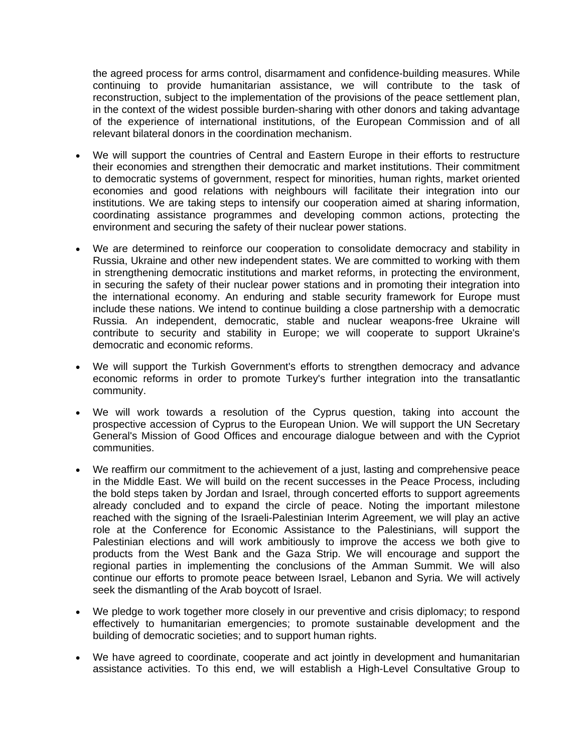the agreed process for arms control, disarmament and confidence-building measures. While continuing to provide humanitarian assistance, we will contribute to the task of reconstruction, subject to the implementation of the provisions of the peace settlement plan, in the context of the widest possible burden-sharing with other donors and taking advantage of the experience of international institutions, of the European Commission and of all relevant bilateral donors in the coordination mechanism.

- We will support the countries of Central and Eastern Europe in their efforts to restructure their economies and strengthen their democratic and market institutions. Their commitment to democratic systems of government, respect for minorities, human rights, market oriented economies and good relations with neighbours will facilitate their integration into our institutions. We are taking steps to intensify our cooperation aimed at sharing information, coordinating assistance programmes and developing common actions, protecting the environment and securing the safety of their nuclear power stations.
- We are determined to reinforce our cooperation to consolidate democracy and stability in Russia, Ukraine and other new independent states. We are committed to working with them in strengthening democratic institutions and market reforms, in protecting the environment, in securing the safety of their nuclear power stations and in promoting their integration into the international economy. An enduring and stable security framework for Europe must include these nations. We intend to continue building a close partnership with a democratic Russia. An independent, democratic, stable and nuclear weapons-free Ukraine will contribute to security and stability in Europe; we will cooperate to support Ukraine's democratic and economic reforms.
- We will support the Turkish Government's efforts to strengthen democracy and advance economic reforms in order to promote Turkey's further integration into the transatlantic community.
- We will work towards a resolution of the Cyprus question, taking into account the prospective accession of Cyprus to the European Union. We will support the UN Secretary General's Mission of Good Offices and encourage dialogue between and with the Cypriot communities.
- We reaffirm our commitment to the achievement of a just, lasting and comprehensive peace in the Middle East. We will build on the recent successes in the Peace Process, including the bold steps taken by Jordan and Israel, through concerted efforts to support agreements already concluded and to expand the circle of peace. Noting the important milestone reached with the signing of the Israeli-Palestinian Interim Agreement, we will play an active role at the Conference for Economic Assistance to the Palestinians, will support the Palestinian elections and will work ambitiously to improve the access we both give to products from the West Bank and the Gaza Strip. We will encourage and support the regional parties in implementing the conclusions of the Amman Summit. We will also continue our efforts to promote peace between Israel, Lebanon and Syria. We will actively seek the dismantling of the Arab boycott of Israel.
- We pledge to work together more closely in our preventive and crisis diplomacy; to respond effectively to humanitarian emergencies; to promote sustainable development and the building of democratic societies; and to support human rights.
- We have agreed to coordinate, cooperate and act jointly in development and humanitarian assistance activities. To this end, we will establish a High-Level Consultative Group to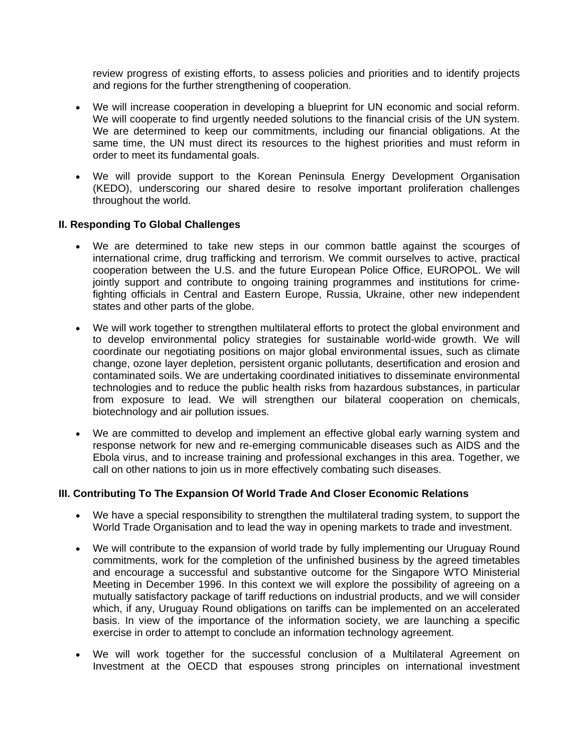review progress of existing efforts, to assess policies and priorities and to identify projects and regions for the further strengthening of cooperation.

- We will increase cooperation in developing a blueprint for UN economic and social reform. We will cooperate to find urgently needed solutions to the financial crisis of the UN system. We are determined to keep our commitments, including our financial obligations. At the same time, the UN must direct its resources to the highest priorities and must reform in order to meet its fundamental goals.
- We will provide support to the Korean Peninsula Energy Development Organisation (KEDO), underscoring our shared desire to resolve important proliferation challenges throughout the world.

## **II. Responding To Global Challenges**

- We are determined to take new steps in our common battle against the scourges of international crime, drug trafficking and terrorism. We commit ourselves to active, practical cooperation between the U.S. and the future European Police Office, EUROPOL. We will jointly support and contribute to ongoing training programmes and institutions for crimefighting officials in Central and Eastern Europe, Russia, Ukraine, other new independent states and other parts of the globe.
- We will work together to strengthen multilateral efforts to protect the global environment and to develop environmental policy strategies for sustainable world-wide growth. We will coordinate our negotiating positions on major global environmental issues, such as climate change, ozone layer depletion, persistent organic pollutants, desertification and erosion and contaminated soils. We are undertaking coordinated initiatives to disseminate environmental technologies and to reduce the public health risks from hazardous substances, in particular from exposure to lead. We will strengthen our bilateral cooperation on chemicals, biotechnology and air pollution issues.
- We are committed to develop and implement an effective global early warning system and response network for new and re-emerging communicable diseases such as AIDS and the Ebola virus, and to increase training and professional exchanges in this area. Together, we call on other nations to join us in more effectively combating such diseases.

# **III. Contributing To The Expansion Of World Trade And Closer Economic Relations**

- We have a special responsibility to strengthen the multilateral trading system, to support the World Trade Organisation and to lead the way in opening markets to trade and investment.
- We will contribute to the expansion of world trade by fully implementing our Uruguay Round commitments, work for the completion of the unfinished business by the agreed timetables and encourage a successful and substantive outcome for the Singapore WTO Ministerial Meeting in December 1996. In this context we will explore the possibility of agreeing on a mutually satisfactory package of tariff reductions on industrial products, and we will consider which, if any, Uruguay Round obligations on tariffs can be implemented on an accelerated basis. In view of the importance of the information society, we are launching a specific exercise in order to attempt to conclude an information technology agreement.
- We will work together for the successful conclusion of a Multilateral Agreement on Investment at the OECD that espouses strong principles on international investment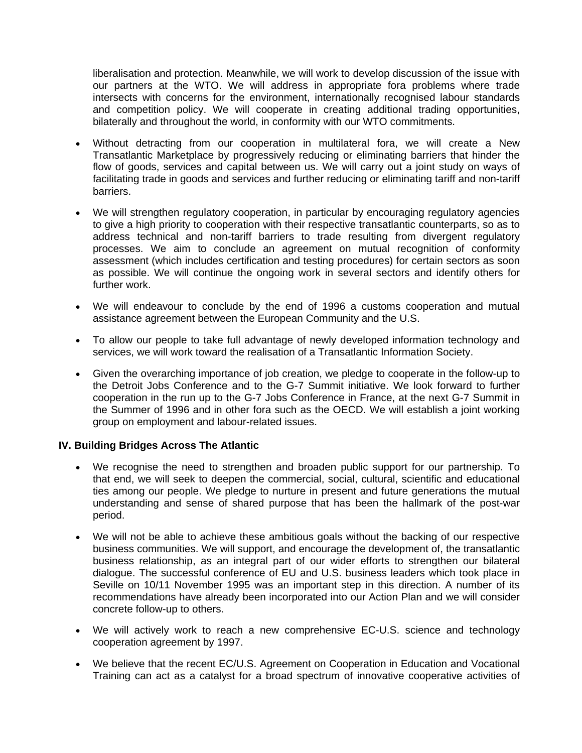liberalisation and protection. Meanwhile, we will work to develop discussion of the issue with our partners at the WTO. We will address in appropriate fora problems where trade intersects with concerns for the environment, internationally recognised labour standards and competition policy. We will cooperate in creating additional trading opportunities, bilaterally and throughout the world, in conformity with our WTO commitments.

- Without detracting from our cooperation in multilateral fora, we will create a New Transatlantic Marketplace by progressively reducing or eliminating barriers that hinder the flow of goods, services and capital between us. We will carry out a joint study on ways of facilitating trade in goods and services and further reducing or eliminating tariff and non-tariff barriers.
- We will strengthen regulatory cooperation, in particular by encouraging regulatory agencies to give a high priority to cooperation with their respective transatlantic counterparts, so as to address technical and non-tariff barriers to trade resulting from divergent regulatory processes. We aim to conclude an agreement on mutual recognition of conformity assessment (which includes certification and testing procedures) for certain sectors as soon as possible. We will continue the ongoing work in several sectors and identify others for further work.
- We will endeavour to conclude by the end of 1996 a customs cooperation and mutual assistance agreement between the European Community and the U.S.
- To allow our people to take full advantage of newly developed information technology and services, we will work toward the realisation of a Transatlantic Information Society.
- Given the overarching importance of job creation, we pledge to cooperate in the follow-up to the Detroit Jobs Conference and to the G-7 Summit initiative. We look forward to further cooperation in the run up to the G-7 Jobs Conference in France, at the next G-7 Summit in the Summer of 1996 and in other fora such as the OECD. We will establish a joint working group on employment and labour-related issues.

## **IV. Building Bridges Across The Atlantic**

- We recognise the need to strengthen and broaden public support for our partnership. To that end, we will seek to deepen the commercial, social, cultural, scientific and educational ties among our people. We pledge to nurture in present and future generations the mutual understanding and sense of shared purpose that has been the hallmark of the post-war period.
- We will not be able to achieve these ambitious goals without the backing of our respective business communities. We will support, and encourage the development of, the transatlantic business relationship, as an integral part of our wider efforts to strengthen our bilateral dialogue. The successful conference of EU and U.S. business leaders which took place in Seville on 10/11 November 1995 was an important step in this direction. A number of its recommendations have already been incorporated into our Action Plan and we will consider concrete follow-up to others.
- We will actively work to reach a new comprehensive EC-U.S. science and technology cooperation agreement by 1997.
- We believe that the recent EC/U.S. Agreement on Cooperation in Education and Vocational Training can act as a catalyst for a broad spectrum of innovative cooperative activities of